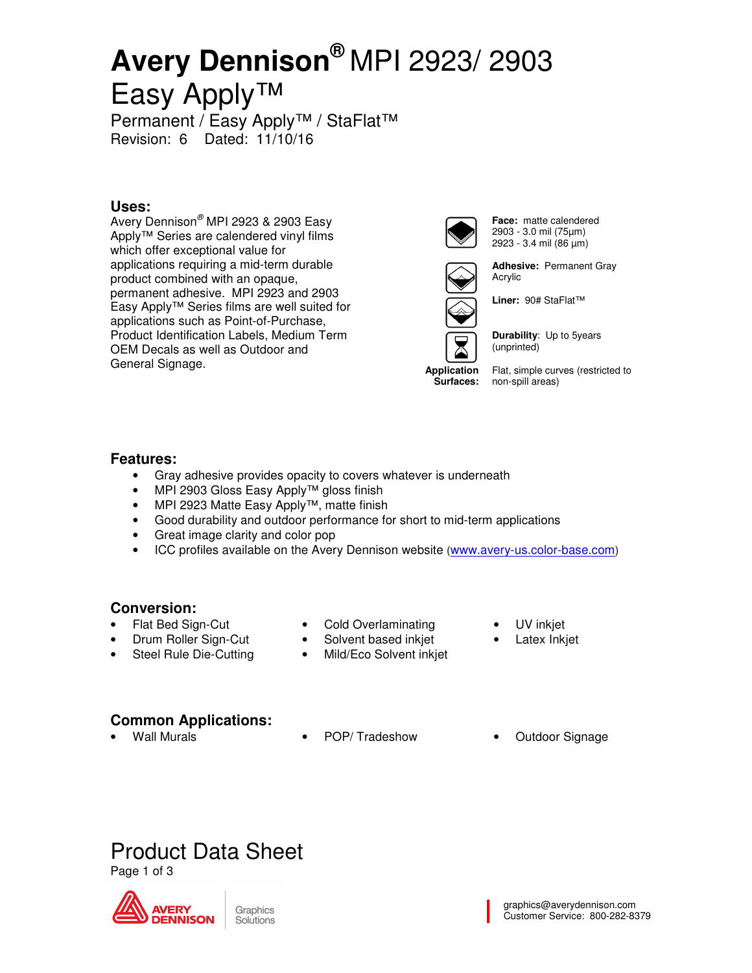# **Avery Dennison®** MPI 2923/ 2903 Easy Apply™

Permanent / Easy Apply™ / StaFlat™ Revision: 6 Dated: 11/10/16

### **Uses:**

Avery Dennison<sup>®</sup> MPI 2923 & 2903 Easy Apply™ Series are calendered vinyl films which offer exceptional value for applications requiring a mid-term durable product combined with an opaque, permanent adhesive. MPI 2923 and 2903 Easy Apply™ Series films are well suited for applications such as Point-of-Purchase, Product Identification Labels, Medium Term OEM Decals as well as Outdoor and General Signage.



**Face:** matte calendered 2903 - 3.0 mil (75µm) 2923 - 3.4 mil (86 µm)



**Adhesive:** Permanent Gray Acrylic



**Application Surfaces:**  **Liner:** 90# StaFlat™



**Durability**: Up to 5years (unprinted)

Flat, simple curves (restricted to non-spill areas)

#### **Features:**

- Gray adhesive provides opacity to covers whatever is underneath
- MPI 2903 Gloss Easy Apply™ gloss finish
- MPI 2923 Matte Easy Apply™, matte finish
- Good durability and outdoor performance for short to mid-term applications
- Great image clarity and color pop
- ICC profiles available on the Avery Dennison website (www.avery-us.color-base.com)

### **Conversion:**

- Flat Bed Sign-Cut
- Cold Overlaminating
- Solvent based inkjet
- Mild/Eco Solvent inkjet
- UV inkjet
- Latex Inkjet

### **Common Applications:**

• Drum Roller Sign-Cut Steel Rule Die-Cutting

- 
- Wall Murals POP/ Tradeshow Outdoor Signage
	-

## Product Data Sheet

Page 1 of 3

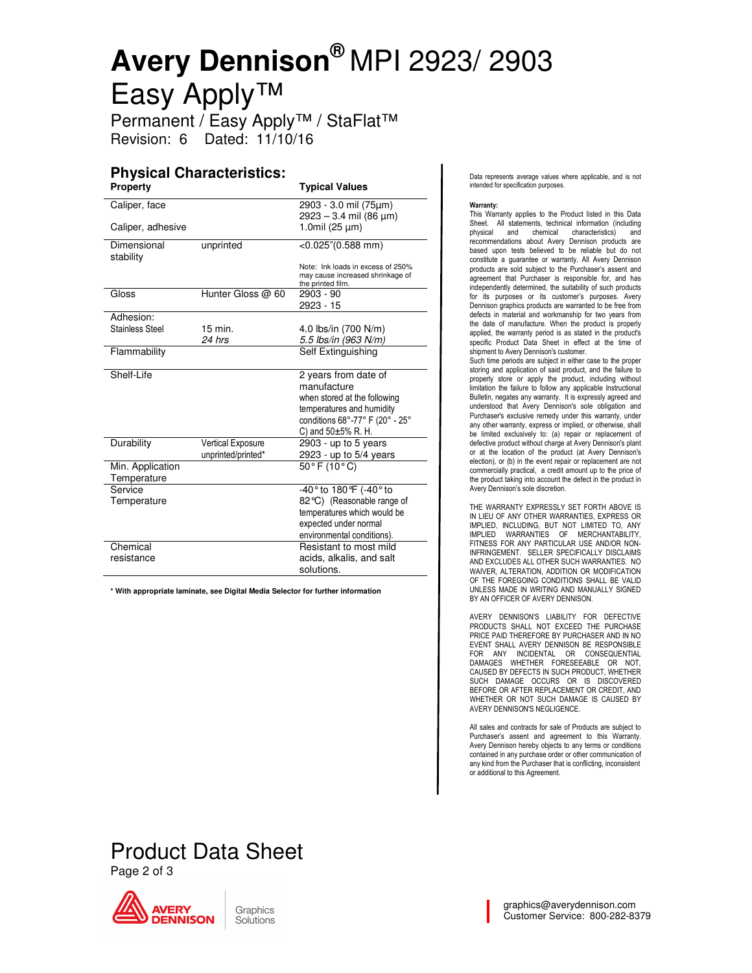# **Avery Dennison®** MPI 2923/ 2903 Easy Apply™

Permanent / Easy Apply™ / StaFlat™ Revision: 6 Dated: 11/10/16

### **Physical Characteristics:**

| <b>Property</b>          |                    | <b>Typical Values</b>                                                                      |
|--------------------------|--------------------|--------------------------------------------------------------------------------------------|
| Caliper, face            |                    | 2903 - 3.0 mil (75µm)<br>2923 - 3.4 mil (86 µm)                                            |
| Caliper, adhesive        |                    | 1.0mil (25 µm)                                                                             |
| Dimensional<br>stability | unprinted          | $<$ 0.025"(0.588 mm)                                                                       |
|                          |                    | Note: Ink loads in excess of 250%<br>may cause increased shrinkage of<br>the printed film. |
| Gloss                    | Hunter Gloss @ 60  | 2903 - 90<br>2923 - 15                                                                     |
| Adhesion:                |                    |                                                                                            |
| Stainless Steel          | $15$ min.          | 4.0 lbs/in (700 N/m)                                                                       |
|                          | 24 hrs             | 5.5 lbs/in (963 N/m)                                                                       |
| Flammability             |                    | Self Extinguishing                                                                         |
| Shelf-Life               |                    | 2 years from date of                                                                       |
|                          |                    | manufacture                                                                                |
|                          |                    | when stored at the following                                                               |
|                          |                    | temperatures and humidity                                                                  |
|                          |                    | conditions 68°-77° F (20° - 25°                                                            |
|                          |                    | C) and $50±5%$ R. H.                                                                       |
| Durability               | Vertical Exposure  | $2903$ - up to 5 years                                                                     |
|                          | unprinted/printed* | 2923 - up to 5/4 years                                                                     |
| Min. Application         |                    | $50^{\circ}$ F (10 $^{\circ}$ C)                                                           |
| Temperature              |                    |                                                                                            |
| Service                  |                    | -40° to 180°F (-40° to                                                                     |
| Temperature              |                    | 82°C) (Reasonable range of                                                                 |
|                          |                    | temperatures which would be                                                                |
|                          |                    | expected under normal                                                                      |
|                          |                    | environmental conditions).                                                                 |
| Chemical                 |                    | Resistant to most mild                                                                     |
| resistance               |                    | acids, alkalis, and salt                                                                   |
|                          |                    | solutions.                                                                                 |

**\* With appropriate laminate, see Digital Media Selector for further information** 

Data represents average values where applicable, and is not intended for specification purposes.

#### Warranty:

This Warranty applies to the Product listed in this Data Sheet. All statements, technical information (including physical and chemical characteristics) and recommendations about Avery Dennison products are based upon tests believed to be reliable but do not constitute a guarantee or warranty. All Avery Dennison products are sold subject to the Purchaser's assent and agreement that Purchaser is responsible for, and has independently determined, the suitability of such products for its purposes or its customer's purposes. Avery Dennison graphics products are warranted to be free from defects in material and workmanship for two years from the date of manufacture. When the product is properly applied, the warranty period is as stated in the product's specific Product Data Sheet in effect at the time of shipment to Avery Dennison's customer.

Such time periods are subject in either case to the proper storing and application of said product, and the failure to properly store or apply the product, including without limitation the failure to follow any applicable Instructional Bulletin, negates any warranty. It is expressly agreed and understood that Avery Dennison's sole obligation and Purchaser's exclusive remedy under this warranty, under any other warranty, express or implied, or otherwise, shall be limited exclusively to: (a) repair or replacement of defective product without charge at Avery Dennison's plant or at the location of the product (at Avery Dennison's election), or (b) in the event repair or replacement are not commercially practical, a credit amount up to the price of the product taking into account the defect in the product in Avery Dennison's sole discretion.

THE WARRANTY EXPRESSLY SET FORTH ABOVE IS IN LIEU OF ANY OTHER WARRANTIES, EXPRESS OR IMPLIED, INCLUDING, BUT NOT LIMITED TO, ANY IMPLIED WARRANTIES OF MERCHANTABILITY, FITNESS FOR ANY PARTICULAR USE AND/OR NON-INFRINGEMENT. SELLER SPECIFICALLY DISCLAIMS AND EXCLUDES ALL OTHER SUCH WARRANTIES. NO WAIVER, ALTERATION, ADDITION OR MODIFICATION OF THE FOREGOING CONDITIONS SHALL BE VALID UNLESS MADE IN WRITING AND MANUALLY SIGNED BY AN OFFICER OF AVERY DENNISON.

AVERY DENNISON'S LIABILITY FOR DEFECTIVE PRODUCTS SHALL NOT EXCEED THE PURCHASE PRICE PAID THEREFORE BY PURCHASER AND IN NO EVENT SHALL AVERY DENNISON BE RESPONSIBLE FOR ANY INCIDENTAL OR CONSEQUENTIAL DAMAGES WHETHER FORESEEABLE OR NOT, CAUSED BY DEFECTS IN SUCH PRODUCT, WHETHER SUCH DAMAGE OCCURS OR IS DISCOVERED BEFORE OR AFTER REPLACEMENT OR CREDIT, AND WHETHER OR NOT SUCH DAMAGE IS CAUSED BY AVERY DENNISON'S NEGLIGENCE.

All sales and contracts for sale of Products are subject to Purchaser's assent and agreement to this Warranty. Avery Dennison hereby objects to any terms or conditions contained in any purchase order or other communication of any kind from the Purchaser that is conflicting, inconsistent or additional to this Agreement.

### Product Data Sheet Page 2 of 3